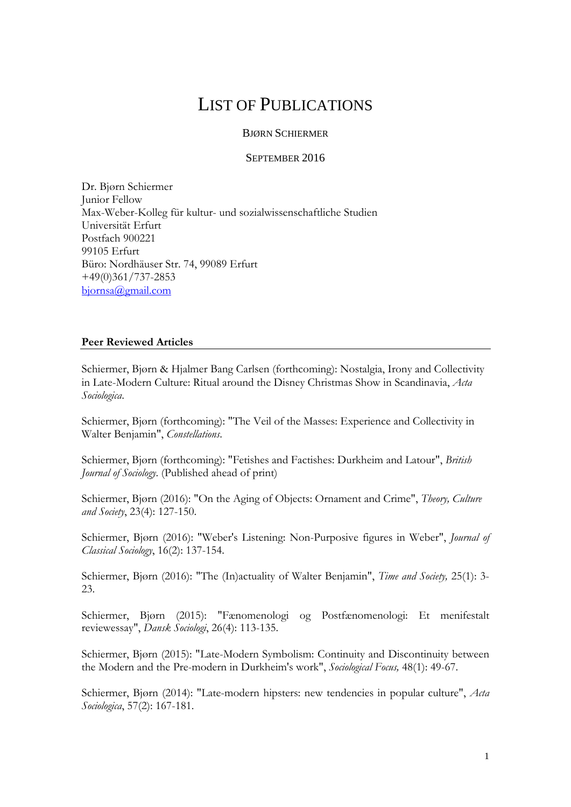# LIST OF PUBLICATIONS

## BJØRN SCHIERMER

#### SEPTEMBER 2016

Dr. Bjørn Schiermer Junior Fellow Max-Weber-Kolleg für kultur- und sozialwissenschaftliche Studien Universität Erfurt Postfach 900221 99105 Erfurt Büro: Nordhäuser Str. 74, 99089 Erfurt +49(0)361/737-2853 [bjornsa@gmail.com](mailto:bjornsa@gmail.com)

### **Peer Reviewed Articles**

Schiermer, Bjørn & Hjalmer Bang Carlsen (forthcoming): Nostalgia, Irony and Collectivity in Late-Modern Culture: Ritual around the Disney Christmas Show in Scandinavia, *Acta Sociologica*.

Schiermer, Bjørn (forthcoming): "The Veil of the Masses: Experience and Collectivity in Walter Benjamin", *Constellations*.

Schiermer, Bjørn (forthcoming): "Fetishes and Factishes: Durkheim and Latour", *British Journal of Sociology*. (Published ahead of print)

Schiermer, Bjørn (2016): "On the Aging of Objects: Ornament and Crime", *Theory, Culture and Society*, 23(4): 127-150.

Schiermer, Bjørn (2016): "Weber's Listening: Non-Purposive figures in Weber", *Journal of Classical Sociology*, 16(2): 137-154.

Schiermer, Bjørn (2016): "The (In)actuality of Walter Benjamin", *Time and Society,* 25(1): 3- 23.

Schiermer, Bjørn (2015): "Fænomenologi og Postfænomenologi: Et menifestalt reviewessay", *Dansk Sociologi*, 26(4): 113-135.

Schiermer, Bjørn (2015): "Late-Modern Symbolism: Continuity and Discontinuity between the Modern and the Pre-modern in Durkheim's work", *Sociological Focus,* 48(1): 49-67.

Schiermer, Bjørn (2014): "Late-modern hipsters: new tendencies in popular culture", *Acta Sociologica*, 57(2): 167-181.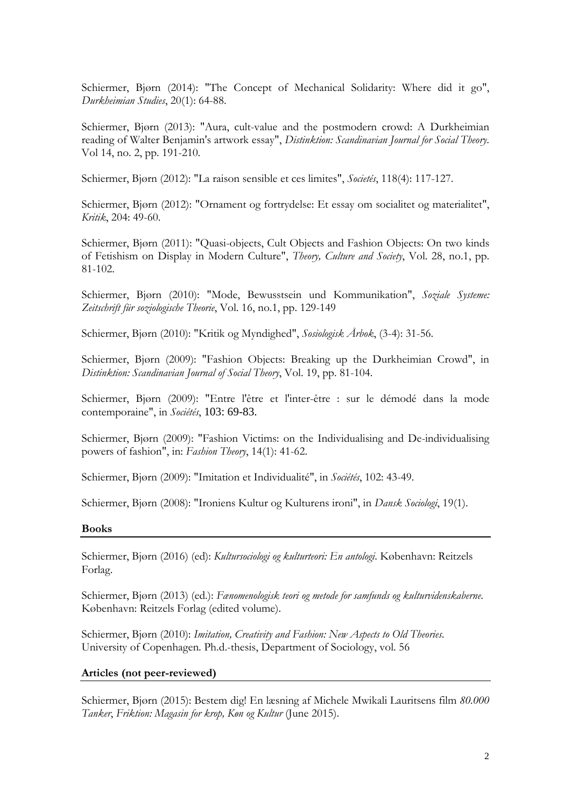Schiermer, Bjørn (2014): "The Concept of Mechanical Solidarity: Where did it go", *Durkheimian Studies*, 20(1): 64-88.

Schiermer, Bjørn (2013): "Aura, cult-value and the postmodern crowd: A Durkheimian reading of Walter Benjamin's artwork essay", *Distinktion: Scandinavian Journal for Social Theory*. Vol 14, no. 2, pp. 191-210.

Schiermer, Bjørn (2012): "La raison sensible et ces limites", *Societés*, 118(4): 117-127.

Schiermer, Bjørn (2012): "Ornament og fortrydelse: Et essay om socialitet og materialitet", *Kritik*, 204: 49-60.

Schiermer, Bjørn (2011): "Quasi-objects, Cult Objects and Fashion Objects: On two kinds of Fetishism on Display in Modern Culture", *Theory, Culture and Society*, Vol. 28, no.1, pp. 81-102.

Schiermer, Bjørn (2010): "Mode, Bewusstsein und Kommunikation", *Soziale Systeme: Zeitschrift für soziologische Theorie*, Vol. 16, no.1, pp. 129-149

Schiermer, Bjørn (2010): "Kritik og Myndighed", *Sosiologisk Årbok*, (3-4): 31-56.

Schiermer, Bjørn (2009): "Fashion Objects: Breaking up the Durkheimian Crowd", in *Distinktion: Scandinavian Journal of Social Theory*, Vol. 19, pp. 81-104.

Schiermer, Bjørn (2009): "Entre l'être et l'inter-être : sur le démodé dans la mode contemporaine", in *Sociétés*, 103: 69-83.

Schiermer, Bjørn (2009): "Fashion Victims: on the Individualising and De-individualising powers of fashion", in: *Fashion Theory*, 14(1): 41-62.

Schiermer, Bjørn (2009): "Imitation et Individualité", in *Sociétés*, 102: 43-49.

Schiermer, Bjørn (2008): "Ironiens Kultur og Kulturens ironi", in *Dansk Sociologi*, 19(1).

#### **Books**

Schiermer, Bjørn (2016) (ed): *Kultursociologi og kulturteori: En antologi*. København: Reitzels Forlag.

Schiermer, Bjørn (2013) (ed.): *Fænomenologisk teori og metode for samfunds og kulturvidenskaberne*. København: Reitzels Forlag (edited volume).

Schiermer, Bjørn (2010): *[Imitation, Creativity and Fashion: New Aspects to Old Theories](http://cms.ku.dk/samf-sites/socio-sites/sociologi/ansatte/publicationdetail/?id=89a57767-53d2-40b2-9582-8998508b520d)*. University of Copenhagen. Ph.d.-thesis, Department of Sociology, vol. 56

#### **Articles (not peer-reviewed)**

Schiermer, Bjørn (2015): Bestem dig! En læsning af Michele Mwikali Lauritsens film *80.000 Tanker*, *Friktion: Magasin for krop, Køn og Kultur* (June 2015).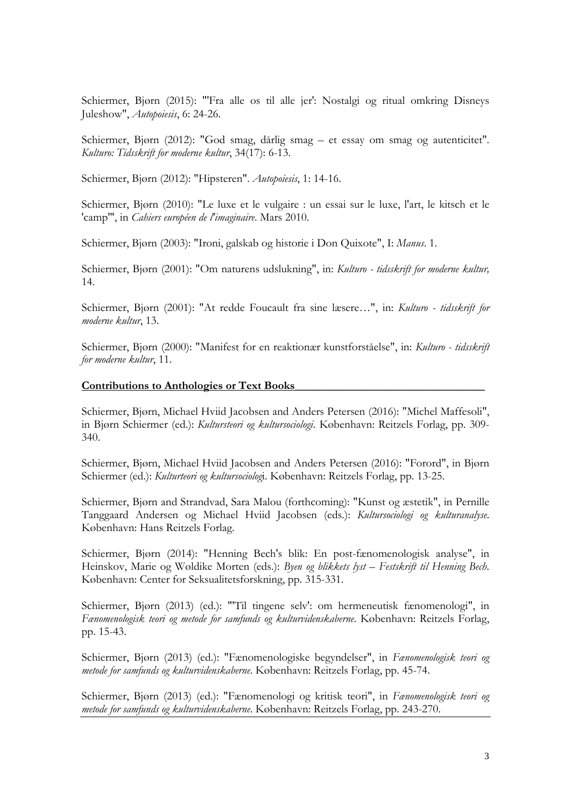Schiermer, Bjørn (2015): "'Fra alle os til alle jer': Nostalgi og ritual omkring Disneys Juleshow", *Autopoiesis*, 6: 24-26.

Schiermer, Bjørn (2012): "God smag, dårlig smag – et essay om smag og autenticitet". *Kulturo: Tidsskrift for moderne kultur*, 34(17): 6-13.

Schiermer, Bjørn (2012): "Hipsteren". *Autopoiesis*, 1: 14-16.

Schiermer, Bjørn (2010): "Le luxe et le vulgaire : un essai sur le luxe, l'art, le kitsch et le 'camp'", in *Cahiers européen de l'imaginaire*. Mars 2010.

Schiermer, Bjørn (2003): "Ironi, galskab og historie i Don Quixote", I: *Manus*. 1.

Schiermer, Bjørn (2001): "Om naturens udslukning", in: *Kulturo - tidsskrift for moderne kultur,* 14.

Schiermer, Bjørn (2001): "At redde Foucault fra sine læsere…", in: *Kulturo - tidsskrift for moderne kultur*, 13.

Schiermer, Bjørn (2000): "Manifest for en reaktionær kunstforståelse", in: *Kulturo - tidsskrift for moderne kultur*, 11.

#### **Contributions to Anthologies or Text Books\_\_\_\_\_\_\_\_\_\_\_\_\_\_\_\_\_\_\_\_\_\_\_\_\_\_\_\_\_\_\_\_\_**

Schiermer, Bjørn, Michael Hviid Jacobsen and Anders Petersen (2016): "Michel Maffesoli", in Bjørn Schiermer (ed.): *Kultursteori og kultursociologi*. København: Reitzels Forlag, pp. 309- 340.

Schiermer, Bjørn, Michael Hviid Jacobsen and Anders Petersen (2016): "Forord", in Bjørn Schiermer (ed.): *Kulturteori og kultursociolog*i. København: Reitzels Forlag, pp. 13-25.

Schiermer, Bjørn and Strandvad, Sara Malou (forthcoming): "Kunst og æstetik", in Pernille Tanggaard Andersen og Michael Hviid Jacobsen (eds.): *Kultursociologi og kulturanalyse*. København: Hans Reitzels Forlag.

Schiermer, Bjørn (2014): "Henning Bech's blik: En post-fænomenologisk analyse", in Heinskov, Marie og Wøldike Morten (eds.): *Byen og blikkets lyst – Festskrift til Henning Bech*. København: Center for Seksualitetsforskning, pp. 315-331.

Schiermer, Bjørn (2013) (ed.): "'Til tingene selv': om hermeneutisk fænomenologi", in *Fænomenologisk teori og metode for samfunds og kulturvidenskaberne*. København: Reitzels Forlag, pp. 15-43.

Schiermer, Bjørn (2013) (ed.): "Fænomenologiske begyndelser", in *Fænomenologisk teori og metode for samfunds og kulturvidenskaberne*. København: Reitzels Forlag, pp. 45-74.

Schiermer, Bjørn (2013) (ed.): "Fænomenologi og kritisk teori", in *Fænomenologisk teori og metode for samfunds og kulturvidenskaberne*. København: Reitzels Forlag, pp. 243-270.